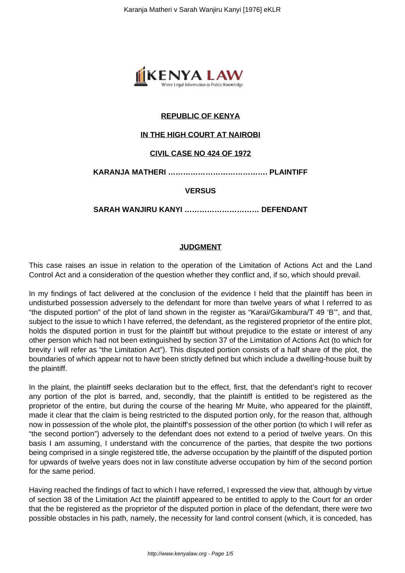

# **REPUBLIC OF KENYA**

## **IN THE HIGH COURT AT NAIROBI**

### **CIVIL CASE NO 424 OF 1972**

**KARANJA MATHERI …………………………………. PLAINTIFF**

### **VERSUS**

**SARAH WANJIRU KANYI ………………………… DEFENDANT**

### **JUDGMENT**

This case raises an issue in relation to the operation of the Limitation of Actions Act and the Land Control Act and a consideration of the question whether they conflict and, if so, which should prevail.

In my findings of fact delivered at the conclusion of the evidence I held that the plaintiff has been in undisturbed possession adversely to the defendant for more than twelve years of what I referred to as "the disputed portion" of the plot of land shown in the register as "Karai/Gikambura/T 49 'B'", and that, subject to the issue to which I have referred, the defendant, as the registered proprietor of the entire plot, holds the disputed portion in trust for the plaintiff but without prejudice to the estate or interest of any other person which had not been extinguished by section 37 of the Limitation of Actions Act (to which for brevity I will refer as "the Limitation Act"). This disputed portion consists of a half share of the plot, the boundaries of which appear not to have been strictly defined but which include a dwelling-house built by the plaintiff.

In the plaint, the plaintiff seeks declaration but to the effect, first, that the defendant's right to recover any portion of the plot is barred, and, secondly, that the plaintiff is entitled to be registered as the proprietor of the entire, but during the course of the hearing Mr Muite, who appeared for the plaintiff, made it clear that the claim is being restricted to the disputed portion only, for the reason that, although now in possession of the whole plot, the plaintiff's possession of the other portion (to which I will refer as "the second portion") adversely to the defendant does not extend to a period of twelve years. On this basis I am assuming, I understand with the concurrence of the parties, that despite the two portions being comprised in a single registered title, the adverse occupation by the plaintiff of the disputed portion for upwards of twelve years does not in law constitute adverse occupation by him of the second portion for the same period.

Having reached the findings of fact to which I have referred, I expressed the view that, although by virtue of section 38 of the Limitation Act the plaintiff appeared to be entitled to apply to the Court for an order that the be registered as the proprietor of the disputed portion in place of the defendant, there were two possible obstacles in his path, namely, the necessity for land control consent (which, it is conceded, has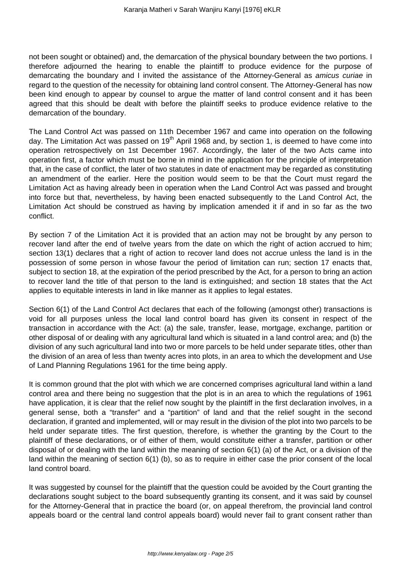not been sought or obtained) and, the demarcation of the physical boundary between the two portions. I therefore adjourned the hearing to enable the plaintiff to produce evidence for the purpose of demarcating the boundary and I invited the assistance of the Attorney-General as amicus curiae in regard to the question of the necessity for obtaining land control consent. The Attorney-General has now been kind enough to appear by counsel to argue the matter of land control consent and it has been agreed that this should be dealt with before the plaintiff seeks to produce evidence relative to the demarcation of the boundary.

The Land Control Act was passed on 11th December 1967 and came into operation on the following day. The Limitation Act was passed on 19<sup>th</sup> April 1968 and, by section 1, is deemed to have come into operation retrospectively on 1st December 1967. Accordingly, the later of the two Acts came into operation first, a factor which must be borne in mind in the application for the principle of interpretation that, in the case of conflict, the later of two statutes in date of enactment may be regarded as constituting an amendment of the earlier. Here the position would seem to be that the Court must regard the Limitation Act as having already been in operation when the Land Control Act was passed and brought into force but that, nevertheless, by having been enacted subsequently to the Land Control Act, the Limitation Act should be construed as having by implication amended it if and in so far as the two conflict.

By section 7 of the Limitation Act it is provided that an action may not be brought by any person to recover land after the end of twelve years from the date on which the right of action accrued to him; section 13(1) declares that a right of action to recover land does not accrue unless the land is in the possession of some person in whose favour the period of limitation can run; section 17 enacts that, subject to section 18, at the expiration of the period prescribed by the Act, for a person to bring an action to recover land the title of that person to the land is extinguished; and section 18 states that the Act applies to equitable interests in land in like manner as it applies to legal estates.

Section 6(1) of the Land Control Act declares that each of the following (amongst other) transactions is void for all purposes unless the local land control board has given its consent in respect of the transaction in accordance with the Act: (a) the sale, transfer, lease, mortgage, exchange, partition or other disposal of or dealing with any agricultural land which is situated in a land control area; and (b) the division of any such agricultural land into two or more parcels to be held under separate titles, other than the division of an area of less than twenty acres into plots, in an area to which the development and Use of Land Planning Regulations 1961 for the time being apply.

It is common ground that the plot with which we are concerned comprises agricultural land within a land control area and there being no suggestion that the plot is in an area to which the regulations of 1961 have application, it is clear that the relief now sought by the plaintiff in the first declaration involves, in a general sense, both a "transfer" and a "partition" of land and that the relief sought in the second declaration, if granted and implemented, will or may result in the division of the plot into two parcels to be held under separate titles. The first question, therefore, is whether the granting by the Court to the plaintiff of these declarations, or of either of them, would constitute either a transfer, partition or other disposal of or dealing with the land within the meaning of section 6(1) (a) of the Act, or a division of the land within the meaning of section 6(1) (b), so as to require in either case the prior consent of the local land control board.

It was suggested by counsel for the plaintiff that the question could be avoided by the Court granting the declarations sought subject to the board subsequently granting its consent, and it was said by counsel for the Attorney-General that in practice the board (or, on appeal therefrom, the provincial land control appeals board or the central land control appeals board) would never fail to grant consent rather than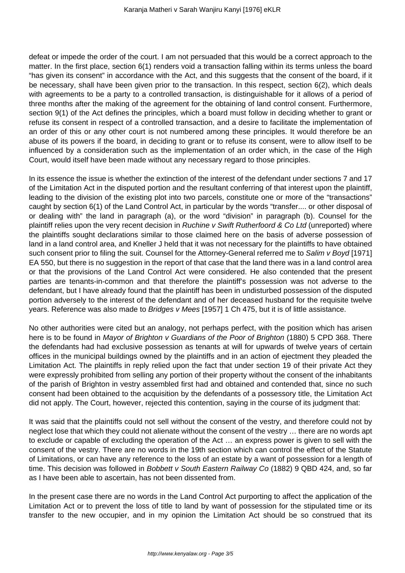defeat or impede the order of the court. I am not persuaded that this would be a correct approach to the matter. In the first place, section 6(1) renders void a transaction falling within its terms unless the board "has given its consent" in accordance with the Act, and this suggests that the consent of the board, if it be necessary, shall have been given prior to the transaction. In this respect, section 6(2), which deals with agreements to be a party to a controlled transaction, is distinguishable for it allows of a period of three months after the making of the agreement for the obtaining of land control consent. Furthermore, section 9(1) of the Act defines the principles, which a board must follow in deciding whether to grant or refuse its consent in respect of a controlled transaction, and a desire to facilitate the implementation of an order of this or any other court is not numbered among these principles. It would therefore be an abuse of its powers if the board, in deciding to grant or to refuse its consent, were to allow itself to be influenced by a consideration such as the implementation of an order which, in the case of the High Court, would itself have been made without any necessary regard to those principles.

In its essence the issue is whether the extinction of the interest of the defendant under sections 7 and 17 of the Limitation Act in the disputed portion and the resultant conferring of that interest upon the plaintiff, leading to the division of the existing plot into two parcels, constitute one or more of the "transactions" caught by section 6(1) of the Land Control Act, in particular by the words "transfer.... or other disposal of or dealing with" the land in paragraph (a), or the word "division" in paragraph (b). Counsel for the plaintiff relies upon the very recent decision in Ruchine v Swift Rutherfoord & Co Ltd (unreported) where the plaintiffs sought declarations similar to those claimed here on the basis of adverse possession of land in a land control area, and Kneller J held that it was not necessary for the plaintiffs to have obtained such consent prior to filing the suit. Counsel for the Attorney-General referred me to Salim v Boyd [1971] EA 550, but there is no suggestion in the report of that case that the land there was in a land control area or that the provisions of the Land Control Act were considered. He also contended that the present parties are tenants-in-common and that therefore the plaintiff's possession was not adverse to the defendant, but I have already found that the plaintiff has been in undisturbed possession of the disputed portion adversely to the interest of the defendant and of her deceased husband for the requisite twelve years. Reference was also made to *Bridges v Mees* [1957] 1 Ch 475, but it is of little assistance.

No other authorities were cited but an analogy, not perhaps perfect, with the position which has arisen here is to be found in Mayor of Brighton v Guardians of the Poor of Brighton (1880) 5 CPD 368. There the defendants had had exclusive possession as tenants at will for upwards of twelve years of certain offices in the municipal buildings owned by the plaintiffs and in an action of ejectment they pleaded the Limitation Act. The plaintiffs in reply relied upon the fact that under section 19 of their private Act they were expressly prohibited from selling any portion of their property without the consent of the inhabitants of the parish of Brighton in vestry assembled first had and obtained and contended that, since no such consent had been obtained to the acquisition by the defendants of a possessory title, the Limitation Act did not apply. The Court, however, rejected this contention, saying in the course of its judgment that:

It was said that the plaintiffs could not sell without the consent of the vestry, and therefore could not by neglect lose that which they could not alienate without the consent of the vestry … there are no words apt to exclude or capable of excluding the operation of the Act … an express power is given to sell with the consent of the vestry. There are no words in the 19th section which can control the effect of the Statute of Limitations, or can have any reference to the loss of an estate by a want of possession for a length of time. This decision was followed in Bobbett v South Eastern Railway Co (1882) 9 QBD 424, and, so far as I have been able to ascertain, has not been dissented from.

In the present case there are no words in the Land Control Act purporting to affect the application of the Limitation Act or to prevent the loss of title to land by want of possession for the stipulated time or its transfer to the new occupier, and in my opinion the Limitation Act should be so construed that its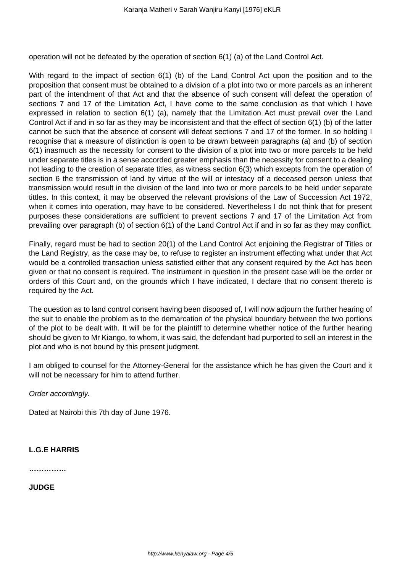operation will not be defeated by the operation of section 6(1) (a) of the Land Control Act.

With regard to the impact of section 6(1) (b) of the Land Control Act upon the position and to the proposition that consent must be obtained to a division of a plot into two or more parcels as an inherent part of the intendment of that Act and that the absence of such consent will defeat the operation of sections 7 and 17 of the Limitation Act, I have come to the same conclusion as that which I have expressed in relation to section 6(1) (a), namely that the Limitation Act must prevail over the Land Control Act if and in so far as they may be inconsistent and that the effect of section 6(1) (b) of the latter cannot be such that the absence of consent will defeat sections 7 and 17 of the former. In so holding I recognise that a measure of distinction is open to be drawn between paragraphs (a) and (b) of section 6(1) inasmuch as the necessity for consent to the division of a plot into two or more parcels to be held under separate titles is in a sense accorded greater emphasis than the necessity for consent to a dealing not leading to the creation of separate titles, as witness section 6(3) which excepts from the operation of section 6 the transmission of land by virtue of the will or intestacy of a deceased person unless that transmission would result in the division of the land into two or more parcels to be held under separate tittles. In this context, it may be observed the relevant provisions of the Law of Succession Act 1972, when it comes into operation, may have to be considered. Nevertheless I do not think that for present purposes these considerations are sufficient to prevent sections 7 and 17 of the Limitation Act from prevailing over paragraph (b) of section 6(1) of the Land Control Act if and in so far as they may conflict.

Finally, regard must be had to section 20(1) of the Land Control Act enjoining the Registrar of Titles or the Land Registry, as the case may be, to refuse to register an instrument effecting what under that Act would be a controlled transaction unless satisfied either that any consent required by the Act has been given or that no consent is required. The instrument in question in the present case will be the order or orders of this Court and, on the grounds which I have indicated, I declare that no consent thereto is required by the Act.

The question as to land control consent having been disposed of, I will now adjourn the further hearing of the suit to enable the problem as to the demarcation of the physical boundary between the two portions of the plot to be dealt with. It will be for the plaintiff to determine whether notice of the further hearing should be given to Mr Kiango, to whom, it was said, the defendant had purported to sell an interest in the plot and who is not bound by this present judgment.

I am obliged to counsel for the Attorney-General for the assistance which he has given the Court and it will not be necessary for him to attend further.

Order accordingly.

Dated at Nairobi this 7th day of June 1976.

### **L.G.E HARRIS**

**……………**

**JUDGE**